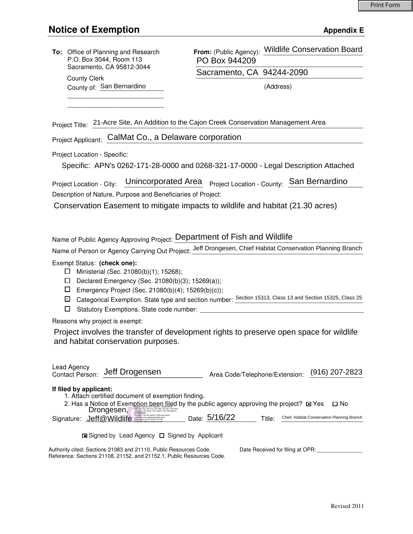## **Notice of Exemption** Appendix E

|                                                                                                                                                                                                                                                                                                                                                                                                                                                                                                                                                               | To: Office of Planning and Research<br>P.O. Box 3044, Room 113<br>Sacramento, CA 95812-3044<br><b>County Clerk</b><br>County of: San Bernardino | From: (Public Agency): Wildlife Conservation Board<br>PO Box 944209<br>Sacramento, CA 94244-2090<br>(Address) |
|---------------------------------------------------------------------------------------------------------------------------------------------------------------------------------------------------------------------------------------------------------------------------------------------------------------------------------------------------------------------------------------------------------------------------------------------------------------------------------------------------------------------------------------------------------------|-------------------------------------------------------------------------------------------------------------------------------------------------|---------------------------------------------------------------------------------------------------------------|
|                                                                                                                                                                                                                                                                                                                                                                                                                                                                                                                                                               |                                                                                                                                                 |                                                                                                               |
| Project Title: 21-Acre Site, An Addition to the Cajon Creek Conservation Management Area                                                                                                                                                                                                                                                                                                                                                                                                                                                                      |                                                                                                                                                 |                                                                                                               |
| Project Applicant: CalMat Co., a Delaware corporation                                                                                                                                                                                                                                                                                                                                                                                                                                                                                                         |                                                                                                                                                 |                                                                                                               |
| Project Location - Specific:<br>Specific: APN's 0262-171-28-0000 and 0268-321-17-0000 - Legal Description Attached                                                                                                                                                                                                                                                                                                                                                                                                                                            |                                                                                                                                                 |                                                                                                               |
| Unincorporated Area<br>Project Location - County: San Bernardino<br>Project Location - City:                                                                                                                                                                                                                                                                                                                                                                                                                                                                  |                                                                                                                                                 |                                                                                                               |
| Description of Nature, Purpose and Beneficiaries of Project:<br>Conservation Easement to mitigate impacts to wildlife and habitat (21.30 acres)                                                                                                                                                                                                                                                                                                                                                                                                               |                                                                                                                                                 |                                                                                                               |
| Name of Public Agency Approving Project: Department of Fish and Wildlife<br>Name of Person or Agency Carrying Out Project: Jeff Drongesen, Chief Habitat Conservation Planning Branch<br>Exempt Status: (check one):<br>Ministerial (Sec. 21080(b)(1); 15268);<br>ப<br>Declared Emergency (Sec. 21080(b)(3); 15269(a));<br>ப<br>□<br>Emergency Project (Sec. 21080(b)(4); 15269(b)(c));<br>Categorical Exemption. State type and section number: Section 15313, Class 13 and Section 15325, Class 25<br>☑<br>□<br>Statutory Exemptions. State code number: __ |                                                                                                                                                 |                                                                                                               |
| Reasons why project is exempt:                                                                                                                                                                                                                                                                                                                                                                                                                                                                                                                                |                                                                                                                                                 |                                                                                                               |
| Project involves the transfer of development rights to preserve open space for wildlife<br>and habitat conservation purposes.                                                                                                                                                                                                                                                                                                                                                                                                                                 |                                                                                                                                                 |                                                                                                               |
| Lead Agency                                                                                                                                                                                                                                                                                                                                                                                                                                                                                                                                                   | Jeff Drogensen<br><b>Contact Person:</b>                                                                                                        | $(916)$ 207-2823<br>Area Code/Telephone/Extension:                                                            |
| If filed by applicant:<br>1. Attach certified document of exemption finding.<br>2. Has a Notice of Exemption been filed by the public agency approving the project? $\blacksquare$ Yes Drongesen,<br>$\square$ No<br>Signature: <b>Jeff</b> @Wildlife <b>Contains Container</b> Date: 5/16/22<br>Chief, Habitat Conservation Planning Branch<br>Title:                                                                                                                                                                                                        |                                                                                                                                                 |                                                                                                               |
| <b>□</b> Signed by Lead Agency □ Signed by Applicant                                                                                                                                                                                                                                                                                                                                                                                                                                                                                                          |                                                                                                                                                 |                                                                                                               |
| Authority cited: Sections 21083 and 21110, Public Resources Code.<br>Date Received for filing at OPR: _______________<br>Reference: Sections 21108, 21152, and 21152.1, Public Resources Code.                                                                                                                                                                                                                                                                                                                                                                |                                                                                                                                                 |                                                                                                               |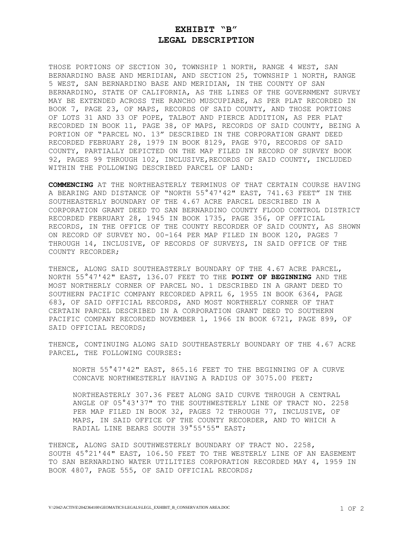#### **EXHIBIT "B" LEGAL DESCRIPTION**

THOSE PORTIONS OF SECTION 30, TOWNSHIP 1 NORTH, RANGE 4 WEST, SAN BERNARDINO BASE AND MERIDIAN, AND SECTION 25, TOWNSHIP 1 NORTH, RANGE 5 WEST, SAN BERNARDINO BASE AND MERIDIAN, IN THE COUNTY OF SAN BERNARDINO, STATE OF CALIFORNIA, AS THE LINES OF THE GOVERNMENT SURVEY MAY BE EXTENDED ACROSS THE RANCHO MUSCUPIABE, AS PER PLAT RECORDED IN [BOOK 7, PAGE 23,](http://socal.ctnbg.com/_documents/145935.Map-7.23.PDF) OF MAPS, RECORDS OF SAID COUNTY, AND THOSE PORTIONS OF LOTS 31 AND 33 OF POPE, TALBOT AND PIERCE ADDITION, AS PER PLAT RECORDED IN [BOOK 11,](http://socal.ctnbg.com/_documents/145929.Map-11.38.PDF) PAGE 38, OF MAPS, RECORDS OF SAID COUNTY, BEING A PORTION OF "PARCEL NO. 13" DESCRIBED IN THE CORPORATION GRANT DEED RECORDED FEBRUARY 28, 1979 IN BOOK 8129, PAGE 970, RECORDS OF SAID COUNTY, PARTIALLY DEPICTED ON THE MAP FILED IN RECORD OF SURVEY BOOK 92, PAGES 99 THROUGH 102, INCLUSIVE,RECORDS OF SAID COUNTY, INCLUDED WITHIN THE FOLLOWING DESCRIBED PARCEL OF LAND:

**COMMENCING** AT THE NORTHEASTERLY TERMINUS OF THAT CERTAIN COURSE HAVING A BEARING AND DISTANCE OF "NORTH 55°47'42" EAST, 741.63 FEET" IN THE SOUTHEASTERLY BOUNDARY OF THE 4.67 ACRE PARCEL DESCRIBED IN A CORPORATION GRANT DEED TO SAN BERNARDINO COUNTY FLOOD CONTROL DISTRICT RECORDED FEBRUARY 28, 1945 IN BOOK 1735, PAGE 356, OF OFFICIAL RECORDS, IN THE OFFICE OF THE COUNTY RECORDER OF SAID COUNTY, AS SHOWN ON RECORD OF SURVEY NO. 00-164 PER MAP FILED IN BOOK 120, PAGES 7 THROUGH 14, INCLUSIVE, OF RECORDS OF SURVEYS, IN SAID OFFICE OF THE COUNTY RECORDER;

THENCE, ALONG SAID SOUTHEASTERLY BOUNDARY OF THE 4.67 ACRE PARCEL, NORTH 55°47'42" EAST, 136.07 FEET TO THE **POINT OF BEGINNING** AND THE MOST NORTHERLY CORNER OF PARCEL NO. 1 DESCRIBED IN A GRANT DEED TO SOUTHERN PACIFIC COMPANY RECORDED APRIL 6, 1955 IN BOOK 6364, PAGE 683, OF SAID OFFICIAL RECORDS, AND MOST NORTHERLY CORNER OF THAT CERTAIN PARCEL DESCRIBED IN A CORPORATION GRANT DEED TO SOUTHERN PACIFIC COMPANY RECORDED NOVEMBER 1, 1966 IN BOOK 6721, PAGE 899, OF SAID OFFICIAL RECORDS;

THENCE, CONTINUING ALONG SAID SOUTHEASTERLY BOUNDARY OF THE 4.67 ACRE PARCEL, THE FOLLOWING COURSES:

NORTH 55°47'42" EAST, 865.16 FEET TO THE BEGINNING OF A CURVE CONCAVE NORTHWESTERLY HAVING A RADIUS OF 3075.00 FEET;

NORTHEASTERLY 307.36 FEET ALONG SAID CURVE THROUGH A CENTRAL ANGLE OF 05°43'37" TO THE SOUTHWESTERLY LINE OF TRACT NO. 2258 PER MAP FILED IN BOOK 32, PAGES 72 THROUGH 77, INCLUSIVE, OF MAPS, IN SAID OFFICE OF THE COUNTY RECORDER, AND TO WHICH A RADIAL LINE BEARS SOUTH 39°55'55" EAST;

THENCE, ALONG SAID SOUTHWESTERLY BOUNDARY OF TRACT NO. 2258, SOUTH 45°21'44" EAST, 106.50 FEET TO THE WESTERLY LINE OF AN EASEMENT TO SAN BERNARDINO WATER UTILITIES CORPORATION RECORDED MAY 4, 1959 IN BOOK 4807, PAGE 555, OF SAID OFFICIAL RECORDS;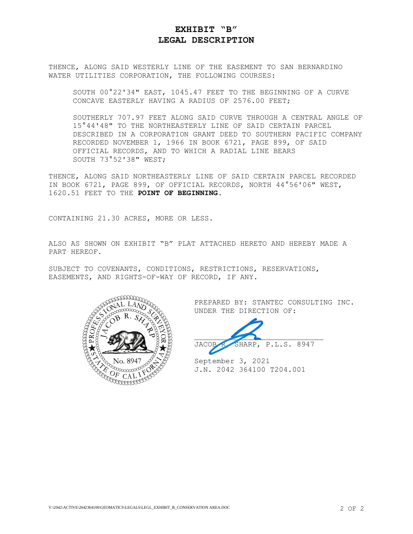#### **EXHIBIT "B" LEGAL DESCRIPTION**

THENCE, ALONG SAID WESTERLY LINE OF THE EASEMENT TO SAN BERNARDINO WATER UTILITIES CORPORATION, THE FOLLOWING COURSES:

SOUTH 00°22'34" EAST, 1045.47 FEET TO THE BEGINNING OF A CURVE CONCAVE EASTERLY HAVING A RADIUS OF 2576.00 FEET;

SOUTHERLY 707.97 FEET ALONG SAID CURVE THROUGH A CENTRAL ANGLE OF 15°44'48" TO THE NORTHEASTERLY LINE OF SAID CERTAIN PARCEL DESCRIBED IN A CORPORATION GRANT DEED TO SOUTHERN PACIFIC COMPANY RECORDED NOVEMBER 1, 1966 IN BOOK 6721, PAGE 899, OF SAID OFFICIAL RECORDS, AND TO WHICH A RADIAL LINE BEARS SOUTH 73°52'38" WEST;

THENCE, ALONG SAID NORTHEASTERLY LINE OF SAID CERTAIN PARCEL RECORDED IN BOOK 6721, PAGE 899, OF OFFICIAL RECORDS, NORTH 44°56'06" WEST, 1620.51 FEET TO THE **POINT OF BEGINNING**.

CONTAINING 21.30 ACRES, MORE OR LESS.

ALSO AS SHOWN ON EXHIBIT "B" PLAT ATTACHED HERETO AND HEREBY MADE A PART HEREOF.

SUBJECT TO COVENANTS, CONDITIONS, RESTRICTIONS, RESERVATIONS, EASEMENTS, AND RIGHTS-OF-WAY OF RECORD, IF ANY.



PREPARED BY: STANTEC CONSULTING INC. UNDER THE DIRECTION OF:

 $\overline{\phantom{a}}$ JACOB R. SHARP, P.L.S. 8947

September 3, 2021 J.N. 2042 364100 T204.001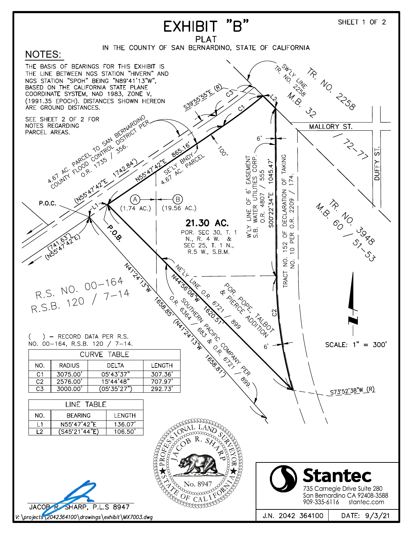